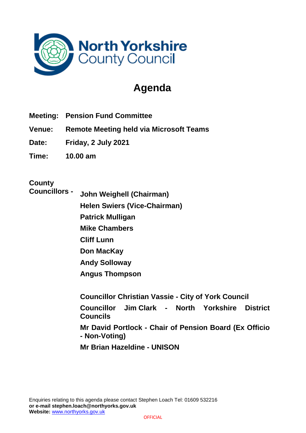

# **Agenda**

- **Meeting: Pension Fund Committee**
- **Venue: Remote Meeting held via Microsoft Teams**
- **Date: Friday, 2 July 2021**
- **Time: 10.00 am**

## **County**

**Councillors -**

**John Weighell (Chairman) Helen Swiers (Vice-Chairman) Patrick Mulligan Mike Chambers Cliff Lunn**

**Don MacKay**

**Andy Solloway**

**Angus Thompson**

**Councillor Christian Vassie - City of York Council Councillor Jim Clark - North Yorkshire District Councils Mr David Portlock - Chair of Pension Board (Ex Officio - Non-Voting)**

**Mr Brian Hazeldine - UNISON**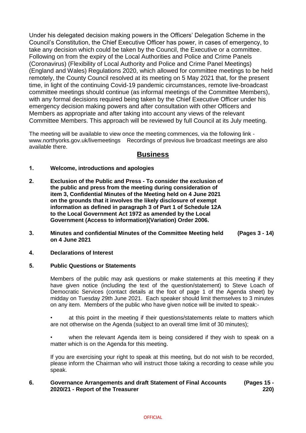Under his delegated decision making powers in the Officers' Delegation Scheme in the Council's Constitution, the Chief Executive Officer has power, in cases of emergency, to take any decision which could be taken by the Council, the Executive or a committee. Following on from the expiry of the Local Authorities and Police and Crime Panels (Coronavirus) (Flexibility of Local Authority and Police and Crime Panel Meetings) (England and Wales) Regulations 2020, which allowed for committee meetings to be held remotely, the County Council resolved at its meeting on 5 May 2021 that, for the present time, in light of the continuing Covid-19 pandemic circumstances, remote live-broadcast committee meetings should continue (as informal meetings of the Committee Members), with any formal decisions required being taken by the Chief Executive Officer under his emergency decision making powers and after consultation with other Officers and Members as appropriate and after taking into account any views of the relevant Committee Members. This approach will be reviewed by full Council at its July meeting.

The meeting will be available to view once the meeting commences, via the following link www.northyorks.gov.uk/livemeetings Recordings of previous live broadcast meetings are also available there.

### **Business**

#### **1. Welcome, introductions and apologies**

- **2. Exclusion of the Public and Press - To consider the exclusion of the public and press from the meeting during consideration of item 3, Confidential Minutes of the Meeting held on 4 June 2021 on the grounds that it involves the likely disclosure of exempt information as defined in paragraph 3 of Part 1 of Schedule 12A to the Local Government Act 1972 as amended by the Local Government (Access to information)(Variation) Order 2006.**
- **3. Minutes and confidential Minutes of the Committee Meeting held on 4 June 2021 (Pages 3 - 14)**

#### **4. Declarations of Interest**

#### **5. Public Questions or Statements**

Members of the public may ask questions or make statements at this meeting if they have given notice (including the text of the question/statement) to Steve Loach of Democratic Services (contact details at the foot of page 1 of the Agenda sheet) by midday on Tuesday 29th June 2021. Each speaker should limit themselves to 3 minutes on any item. Members of the public who have given notice will be invited to speak:-

at this point in the meeting if their questions/statements relate to matters which are not otherwise on the Agenda (subject to an overall time limit of 30 minutes);

• when the relevant Agenda item is being considered if they wish to speak on a matter which is on the Agenda for this meeting.

If you are exercising your right to speak at this meeting, but do not wish to be recorded, please inform the Chairman who will instruct those taking a recording to cease while you speak.

#### **6. Governance Arrangements and draft Statement of Final Accounts 2020/21 - Report of the Treasurer (Pages 15 - 220)**